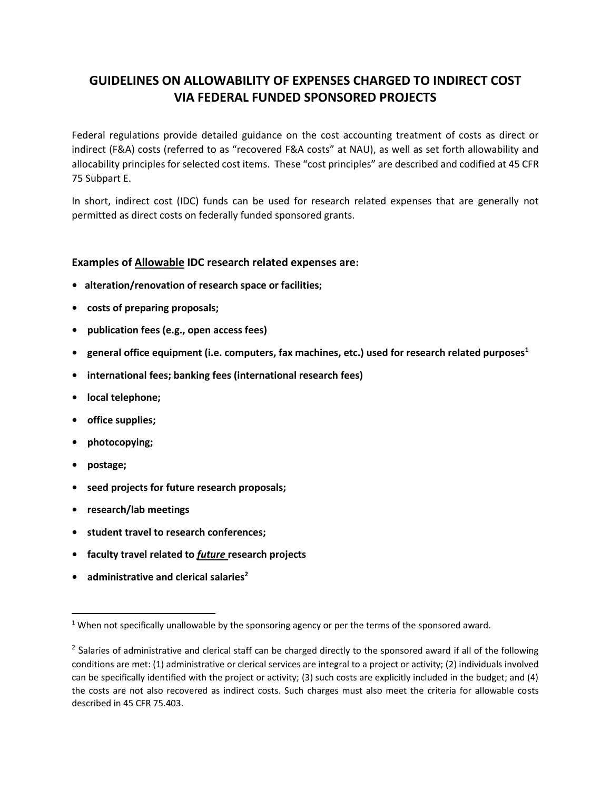## **GUIDELINES ON ALLOWABILITY OF EXPENSES CHARGED TO INDIRECT COST VIA FEDERAL FUNDED SPONSORED PROJECTS**

Federal regulations provide detailed guidance on the cost accounting treatment of costs as direct or indirect (F&A) costs (referred to as "recovered F&A costs" at NAU), as well as set forth allowability and allocability principles for selected cost items. These "cost principles" are described and codified at 45 CFR 75 Subpart E.

In short, indirect cost (IDC) funds can be used for research related expenses that are generally not permitted as direct costs on federally funded sponsored grants.

## **Examples of Allowable IDC research related expenses are:**

- **• alteration/renovation of research space or facilities;**
- **costs of preparing proposals;**
- **publication fees (e.g., open access fees)**
- **general office equipment (i.e. computers, fax machines, etc.) used for research related purposes<sup>1</sup>**
- **international fees; banking fees (international research fees)**
- **local telephone;**
- **office supplies;**
- **photocopying;**
- **postage;**
- **seed projects for future research proposals;**
- **research/lab meetings**
- **student travel to research conferences;**
- **faculty travel related to** *future* **research projects**
- **administrative and clerical salaries<sup>2</sup>**

<sup>&</sup>lt;sup>1</sup> When not specifically unallowable by the sponsoring agency or per the terms of the sponsored award.

 $^2$  Salaries of administrative and clerical staff can be charged directly to the sponsored award if all of the following conditions are met: (1) administrative or clerical services are integral to a project or activity; (2) individuals involved can be specifically identified with the project or activity; (3) such costs are explicitly included in the budget; and (4) the costs are not also recovered as indirect costs. Such charges must also meet the criteria for allowable costs described in 45 CFR 75.403.